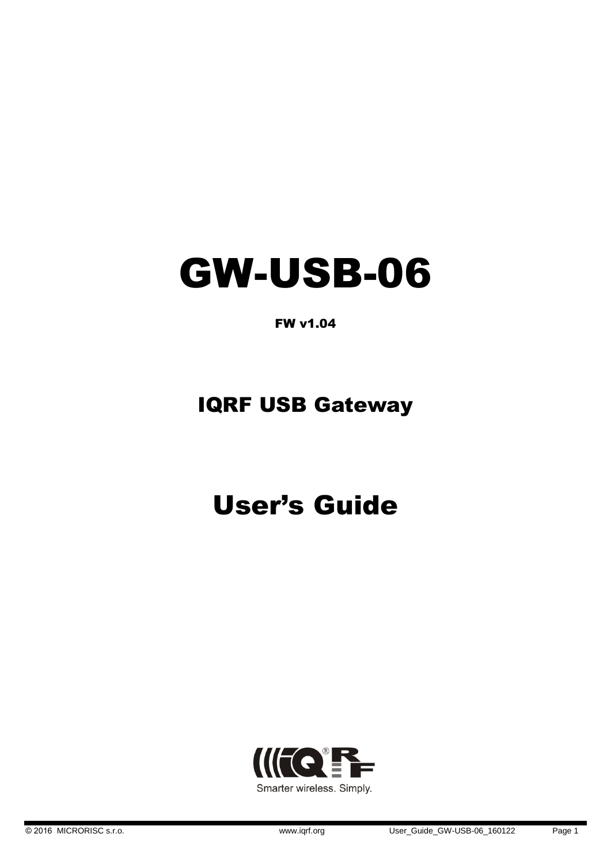# GW-USB-06

FW v1.04

## IQRF USB Gateway

## User's Guide

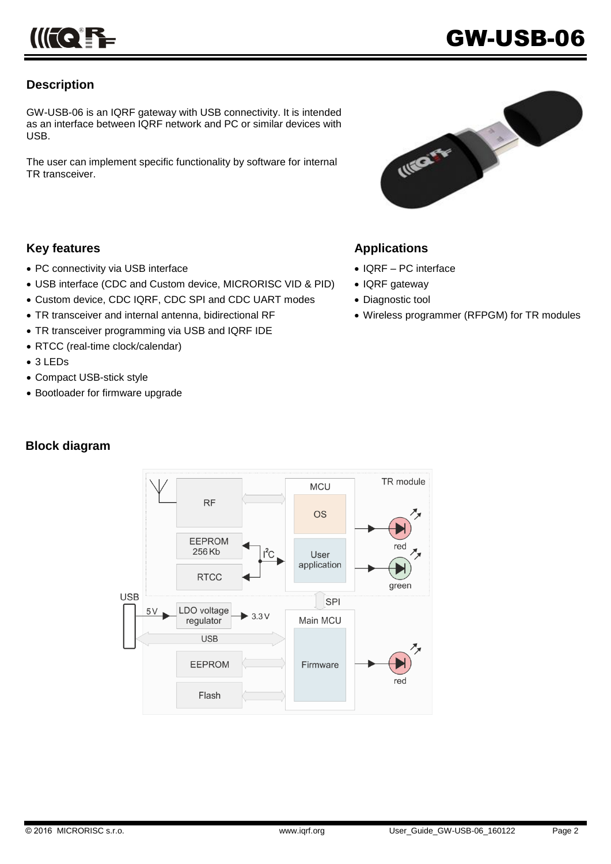## **Description**

GW-USB-06 is an IQRF gateway with USB connectivity. It is intended as an interface between IQRF network and PC or similar devices with USB.

The user can implement specific functionality by software for internal TR transceiver.



## **Key features**

- PC connectivity via USB interface
- USB interface (CDC and Custom device, MICRORISC VID & PID)
- Custom device, CDC IQRF, CDC SPI and CDC UART modes
- TR transceiver and internal antenna, bidirectional RF
- TR transceiver programming via USB and IQRF IDE
- RTCC (real-time clock/calendar)
- 3 LEDs
- Compact USB-stick style
- Bootloader for firmware upgrade

## **Block diagram**



## **Applications**

- IQRF PC interface
- IQRF gateway
- Diagnostic tool
- Wireless programmer (RFPGM) for TR modules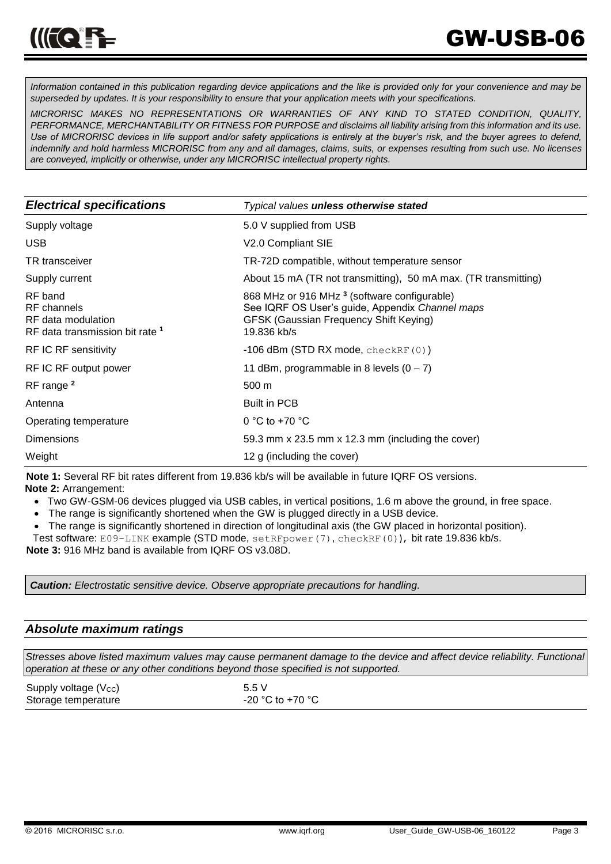*Information contained in this publication regarding device applications and the like is provided only for your convenience and may be superseded by updates. It is your responsibility to ensure that your application meets with your specifications.*

*MICRORISC MAKES NO REPRESENTATIONS OR WARRANTIES OF ANY KIND TO STATED CONDITION, QUALITY, PERFORMANCE, MERCHANTABILITY OR FITNESS FOR PURPOSE and disclaims all liability arising from this information and its use. Use of MICRORISC devices in life support and/or safety applications is entirely at the buyer's risk, and the buyer agrees to defend, indemnify and hold harmless MICRORISC from any and all damages, claims, suits, or expenses resulting from such use. No licenses are conveyed, implicitly or otherwise, under any MICRORISC intellectual property rights.*

| <b>Electrical specifications</b>                                                           | Typical values unless otherwise stated                                                                                                                                     |  |
|--------------------------------------------------------------------------------------------|----------------------------------------------------------------------------------------------------------------------------------------------------------------------------|--|
| Supply voltage                                                                             | 5.0 V supplied from USB                                                                                                                                                    |  |
| <b>USB</b>                                                                                 | V2.0 Compliant SIE                                                                                                                                                         |  |
| <b>TR</b> transceiver                                                                      | TR-72D compatible, without temperature sensor                                                                                                                              |  |
| Supply current                                                                             | About 15 mA (TR not transmitting), 50 mA max. (TR transmitting)                                                                                                            |  |
| RF band<br>RF channels<br>RF data modulation<br>RF data transmission bit rate <sup>1</sup> | 868 MHz or 916 MHz <sup>3</sup> (software configurable)<br>See IQRF OS User's guide, Appendix Channel maps<br><b>GFSK (Gaussian Frequency Shift Keying)</b><br>19.836 kb/s |  |
| RF IC RF sensitivity                                                                       | $-106$ dBm (STD RX mode, checkRF $(0)$ )                                                                                                                                   |  |
| RF IC RF output power                                                                      | 11 dBm, programmable in 8 levels $(0 – 7)$                                                                                                                                 |  |
| RF range <sup>2</sup>                                                                      | 500 m                                                                                                                                                                      |  |
| Antenna                                                                                    | <b>Built in PCB</b>                                                                                                                                                        |  |
| Operating temperature                                                                      | 0 °C to +70 $\degree$ C                                                                                                                                                    |  |
| <b>Dimensions</b>                                                                          | 59.3 mm x 23.5 mm x 12.3 mm (including the cover)                                                                                                                          |  |
| Weight                                                                                     | 12 g (including the cover)                                                                                                                                                 |  |

**Note 1:** Several RF bit rates different from 19.836 kb/s will be available in future IQRF OS versions.

**Note 2:** Arrangement:

- Two GW-GSM-06 devices plugged via USB cables, in vertical positions, 1.6 m above the ground, in free space.
- The range is significantly shortened when the GW is plugged directly in a USB device.
- The range is significantly shortened in direction of longitudinal axis (the GW placed in horizontal position).
- Test software: E09-LINK example (STD mode, setRFpower(7), checkRF(0)), bit rate 19.836 kb/s.

**Note 3:** 916 MHz band is available from IQRF OS v3.08D.

*Caution: Electrostatic sensitive device. Observe appropriate precautions for handling.*

## *Absolute maximum ratings*

*Stresses above listed maximum values may cause permanent damage to the device and affect device reliability. Functional operation at these or any other conditions beyond those specified is not supported.*

| Supply voltage (Vcc) | 5.5V             |
|----------------------|------------------|
| Storage temperature  | -20 °C to +70 °C |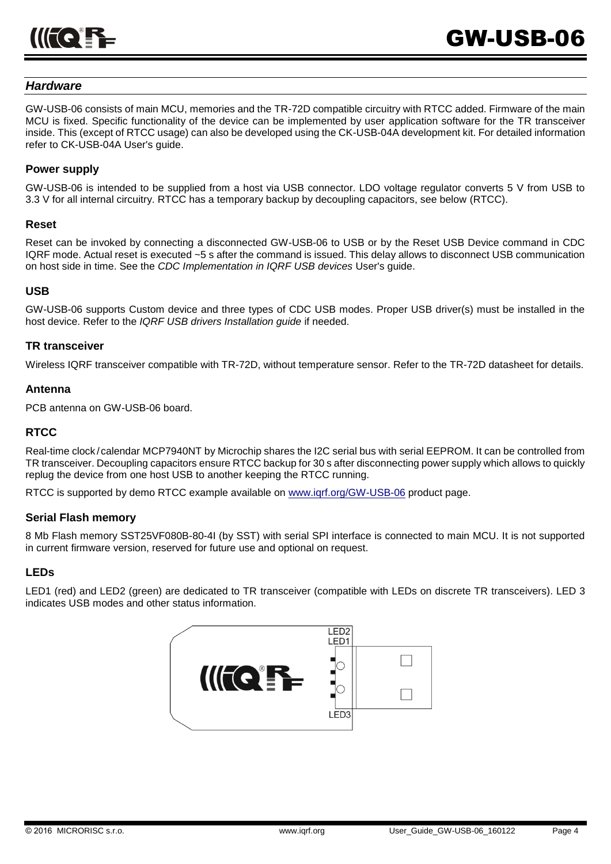

## *Hardware*

GW-USB-06 consists of main MCU, memories and the TR-72D compatible circuitry with RTCC added. Firmware of the main MCU is fixed. Specific functionality of the device can be implemented by user application software for the TR transceiver inside. This (except of RTCC usage) can also be developed using the CK-USB-04A development kit. For detailed information refer to CK-USB-04A User's guide.

## **Power supply**

GW-USB-06 is intended to be supplied from a host via USB connector. LDO voltage regulator converts 5 V from USB to 3.3 V for all internal circuitry. RTCC has a temporary backup by decoupling capacitors, see below (RTCC).

#### **Reset**

Reset can be invoked by connecting a disconnected GW-USB-06 to USB or by the Reset USB Device command in CDC IQRF mode. Actual reset is executed ~5 s after the command is issued. This delay allows to disconnect USB communication on host side in time. See the *CDC Implementation in IQRF USB devices* User's guide.

#### **USB**

GW-USB-06 supports Custom device and three types of CDC USB modes. Proper USB driver(s) must be installed in the host device. Refer to the *IQRF USB drivers Installation guide* if needed.

#### **TR transceiver**

Wireless IQRF transceiver compatible with TR-72D, without temperature sensor. Refer to the TR-72D datasheet for details.

#### **Antenna**

PCB antenna on GW-USB-06 board.

### **RTCC**

Real-time clock /calendar MCP7940NT by Microchip shares the I2C serial bus with serial EEPROM. It can be controlled from TR transceiver. Decoupling capacitors ensure RTCC backup for 30 s after disconnecting power supply which allows to quickly replug the device from one host USB to another keeping the RTCC running.

RTCC is supported by demo RTCC example available on [www.iqrf.org/GW-USB-06](http://www.iqrf.org/GW-USB-06) product page.

#### **Serial Flash memory**

8 Mb Flash memory SST25VF080B-80-4I (by SST) with serial SPI interface is connected to main MCU. It is not supported in current firmware version, reserved for future use and optional on request.

### **LEDs**

LED1 (red) and LED2 (green) are dedicated to TR transceiver (compatible with LEDs on discrete TR transceivers). LED 3 indicates USB modes and other status information.

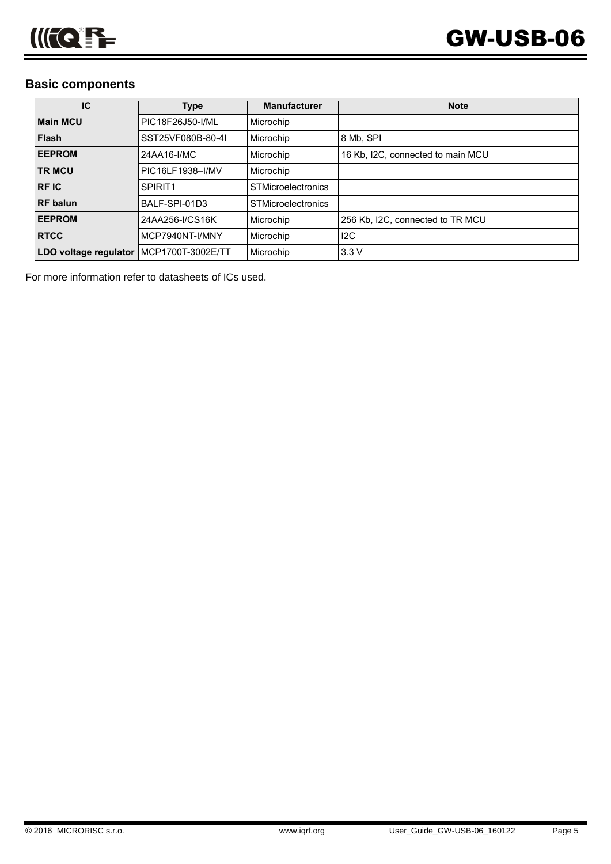## **Basic components**

| IC                                      | <b>Type</b>         | <b>Manufacturer</b>       | <b>Note</b>                       |
|-----------------------------------------|---------------------|---------------------------|-----------------------------------|
| <b>Main MCU</b>                         | PIC18F26J50-I/ML    | Microchip                 |                                   |
| <b>Flash</b>                            | SST25VF080B-80-4I   | Microchip                 | 8 Mb, SPI                         |
| <b>EEPROM</b>                           | 24AA16-I/MC         | Microchip                 | 16 Kb, I2C, connected to main MCU |
| <b>TR MCU</b>                           | PIC16LF1938-I/MV    | Microchip                 |                                   |
| <b>RFIC</b>                             | SPIRIT <sub>1</sub> | <b>STMicroelectronics</b> |                                   |
| <b>RF</b> balun                         | BALF-SPI-01D3       | <b>STMicroelectronics</b> |                                   |
| <b>EEPROM</b>                           | 24AA256-I/CS16K     | Microchip                 | 256 Kb, I2C, connected to TR MCU  |
| <b>RTCC</b>                             | MCP7940NT-I/MNY     | Microchip                 | 12C                               |
| LDO voltage regulator MCP1700T-3002E/TT |                     | Microchip                 | 3.3V                              |

For more information refer to datasheets of ICs used.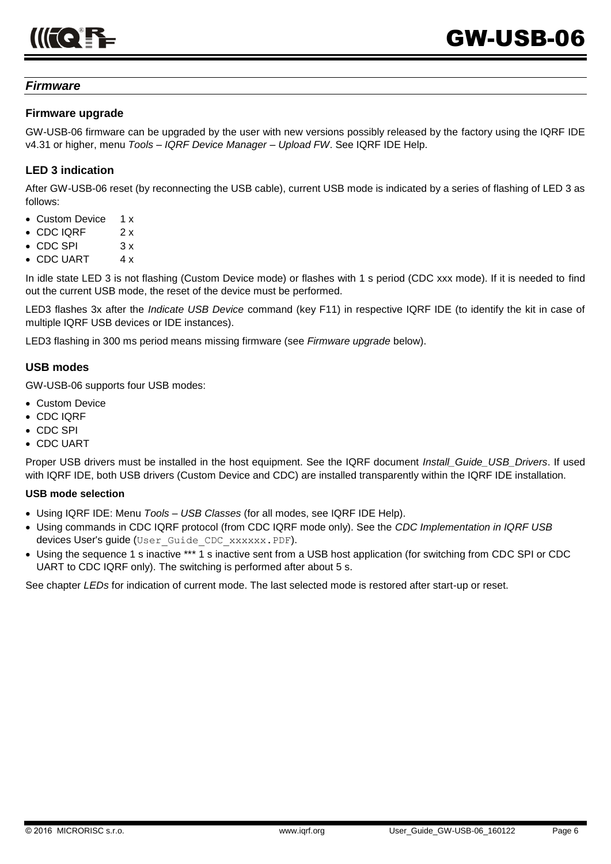## *Firmware*

## **Firmware upgrade**

GW-USB-06 firmware can be upgraded by the user with new versions possibly released by the factory using the IQRF IDE v4.31 or higher, menu *Tools – IQRF Device Manager – Upload FW*. See IQRF IDE Help.

## **LED 3 indication**

After GW-USB-06 reset (by reconnecting the USB cable), current USB mode is indicated by a series of flashing of LED 3 as follows:

- Custom Device 1 x
- $\cdot$  CDC IQRF 2 x
- $\bullet$  CDC SPI  $\quad$  3 x
- CDC UART 4 x

In idle state LED 3 is not flashing (Custom Device mode) or flashes with 1 s period (CDC xxx mode). If it is needed to find out the current USB mode, the reset of the device must be performed.

LED3 flashes 3x after the *Indicate USB Device* command (key F11) in respective IQRF IDE (to identify the kit in case of multiple IQRF USB devices or IDE instances).

LED3 flashing in 300 ms period means missing firmware (see *Firmware upgrade* below).

### **USB modes**

GW-USB-06 supports four USB modes:

- Custom Device
- CDC IQRF
- CDC SPI
- CDC UART

Proper USB drivers must be installed in the host equipment. See the IQRF document *Install\_Guide\_USB\_Drivers*. If used with IQRF IDE, both USB drivers (Custom Device and CDC) are installed transparently within the IQRF IDE installation.

#### **USB mode selection**

- Using IQRF IDE: Menu *Tools – USB Classes* (for all modes, see IQRF IDE Help).
- Using commands in CDC IQRF protocol (from CDC IQRF mode only). See the *CDC Implementation in IQRF USB* devices User's guide (User Guide CDC xxxxxx.PDF).
- Using the sequence 1 s inactive \*\*\* 1 s inactive sent from a USB host application (for switching from CDC SPI or CDC UART to CDC IQRF only). The switching is performed after about 5 s.

See chapter *LEDs* for indication of current mode. The last selected mode is restored after start-up or reset.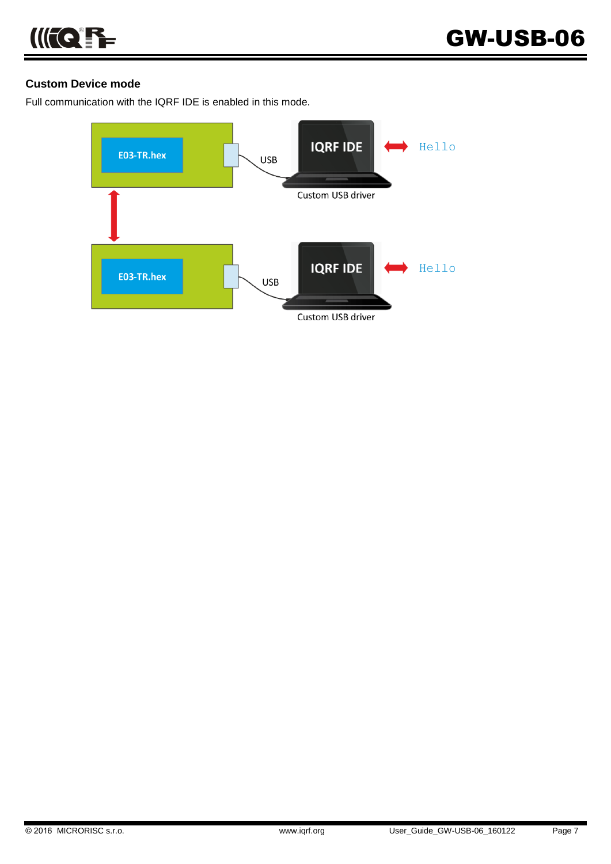

## **Custom Device mode**

Full communication with the IQRF IDE is enabled in this mode.

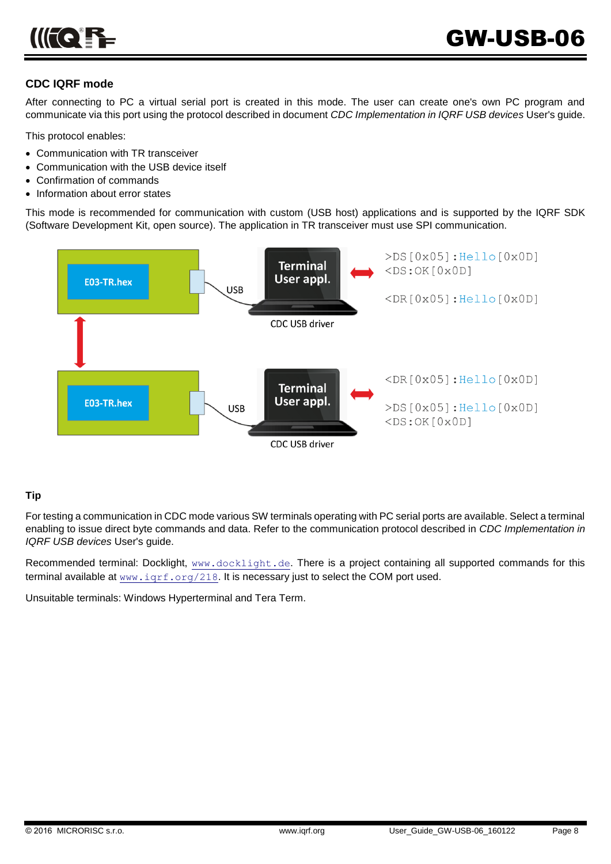

## **CDC IQRF mode**

After connecting to PC a virtual serial port is created in this mode. The user can create one's own PC program and communicate via this port using the protocol described in document *CDC Implementation in IQRF USB devices* User's guide.

This protocol enables:

- Communication with TR transceiver
- Communication with the USB device itself
- Confirmation of commands
- Information about error states

This mode is recommended for communication with custom (USB host) applications and is supported by the IQRF SDK (Software Development Kit, open source). The application in TR transceiver must use SPI communication.



### **Tip**

For testing a communication in CDC mode various SW terminals operating with PC serial ports are available. Select a terminal enabling to issue direct byte commands and data. Refer to the communication protocol described in *CDC Implementation in IQRF USB devices* User's guide.

Recommended terminal: Docklight, [www.docklight.de](http://www.docklight.de/). There is a project containing all supported commands for this terminal available at [www.iqrf.org/218](http://www.iqrf.org/weben/downloads.php?id=218). It is necessary just to select the COM port used.

Unsuitable terminals: Windows Hyperterminal and Tera Term.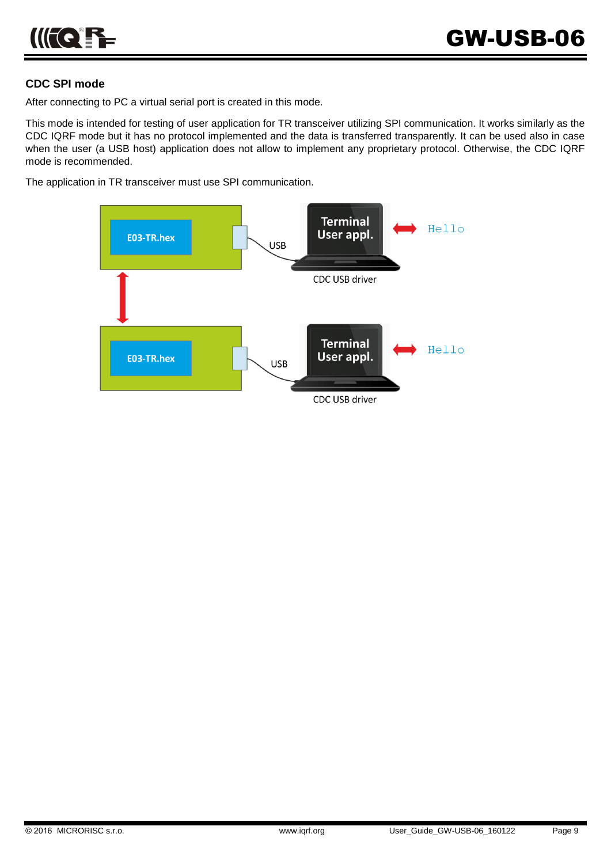## **CDC SPI mode**

After connecting to PC a virtual serial port is created in this mode.

This mode is intended for testing of user application for TR transceiver utilizing SPI communication. It works similarly as the CDC IQRF mode but it has no protocol implemented and the data is transferred transparently. It can be used also in case when the user (a USB host) application does not allow to implement any proprietary protocol. Otherwise, the CDC IQRF mode is recommended.

The application in TR transceiver must use SPI communication.

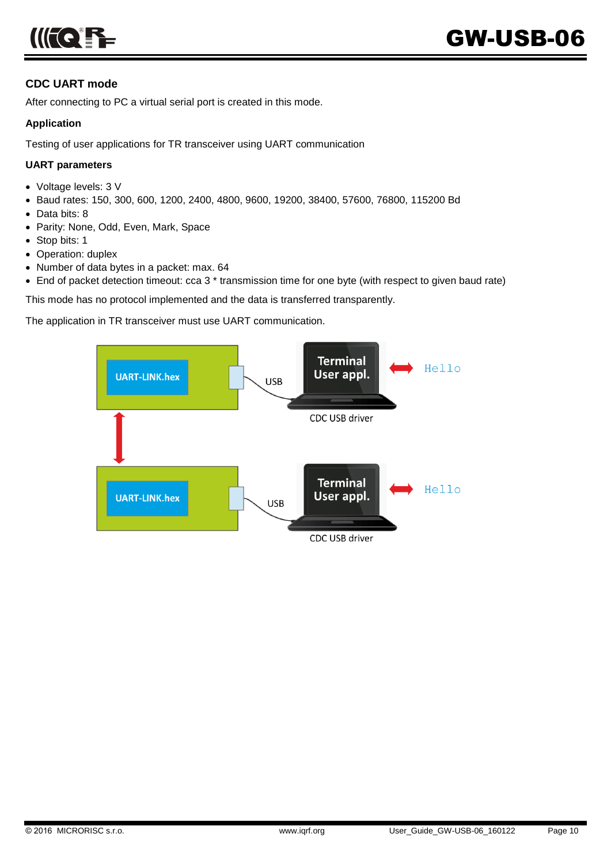

## **CDC UART mode**

After connecting to PC a virtual serial port is created in this mode.

## **Application**

Testing of user applications for TR transceiver using UART communication

## **UART parameters**

- Voltage levels: 3 V
- Baud rates: 150, 300, 600, 1200, 2400, 4800, 9600, 19200, 38400, 57600, 76800, 115200 Bd
- Data bits: 8
- Parity: None, Odd, Even, Mark, Space
- Stop bits: 1
- Operation: duplex
- Number of data bytes in a packet: max. 64
- End of packet detection timeout: cca 3<sup>\*</sup> transmission time for one byte (with respect to given baud rate)

This mode has no protocol implemented and the data is transferred transparently.

The application in TR transceiver must use UART communication.

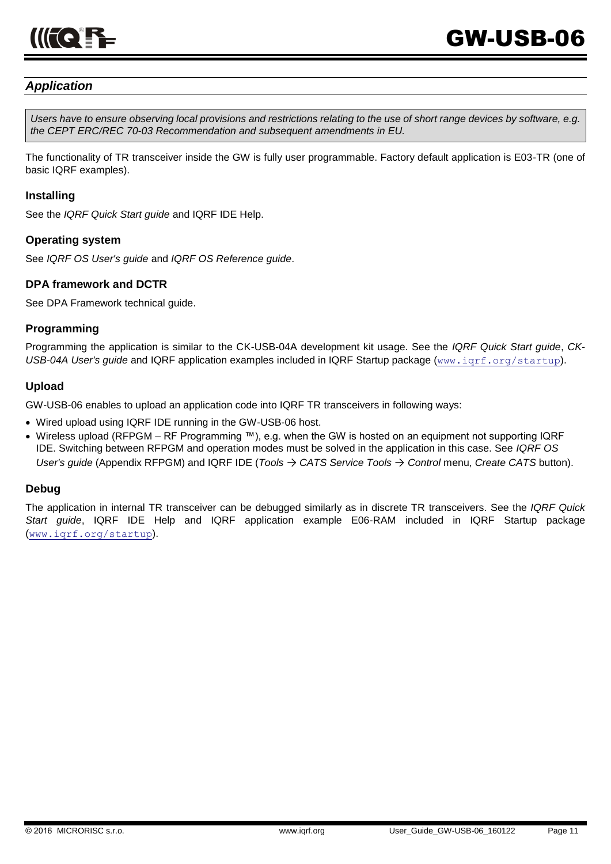

## *Application*

*Users have to ensure observing local provisions and restrictions relating to the use of short range devices by software, e.g. the CEPT ERC/REC 70-03 Recommendation and subsequent amendments in EU.*

The functionality of TR transceiver inside the GW is fully user programmable. Factory default application is E03-TR (one of basic IQRF examples).

#### **Installing**

See the *IQRF Quick Start guide* and IQRF IDE Help.

### **Operating system**

See *IQRF OS User's guide* and *IQRF OS Reference guide*.

### **DPA framework and DCTR**

See DPA Framework technical guide.

### **Programming**

Programming the application is similar to the CK-USB-04A development kit usage. See the *IQRF Quick Start guide*, *CK-USB-04A User's guide* and IQRF application examples included in IQRF Startup package ([www.iqrf.org/startup](http://www.iqrf.org/startup)).

### **Upload**

GW-USB-06 enables to upload an application code into IQRF TR transceivers in following ways:

- Wired upload using IQRF IDE running in the GW-USB-06 host.
- Wireless upload (RFPGM RF Programming ™), e.g. when the GW is hosted on an equipment not supporting IQRF IDE. Switching between RFPGM and operation modes must be solved in the application in this case. See *IQRF OS User's guide* (Appendix RFPGM) and IQRF IDE (*Tools* → *CATS Service Tools* → *Control* menu, *Create CATS* button).

### **Debug**

The application in internal TR transceiver can be debugged similarly as in discrete TR transceivers. See the *IQRF Quick Start guide*, IQRF IDE Help and IQRF application example E06-RAM included in IQRF Startup package ([www.iqrf.org/startup](http://www.iqrf.org/startup)).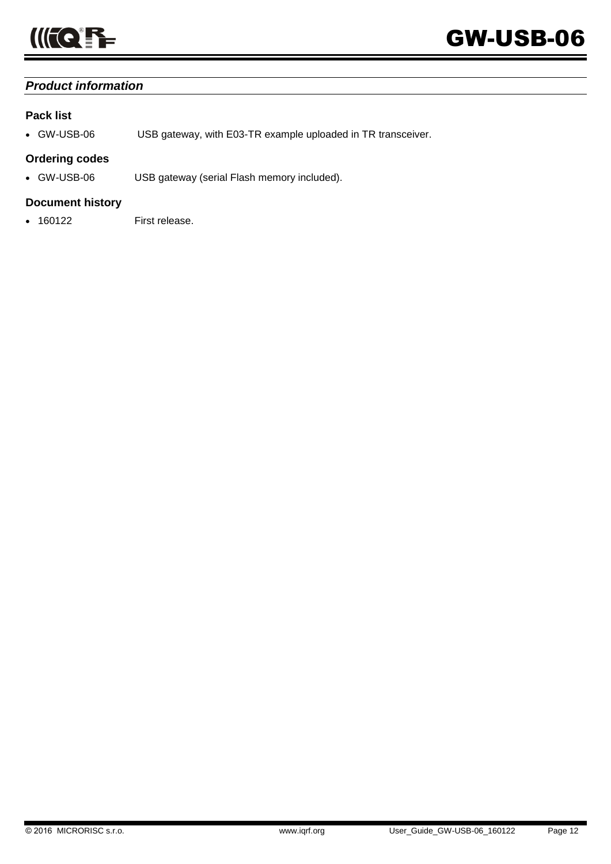

## *Product information*

## **Pack list**

GW-USB-06 USB gateway, with E03-TR example uploaded in TR transceiver.

## **Ordering codes**

GW-USB-06 USB gateway (serial Flash memory included).

## **Document history**

160122 First release.